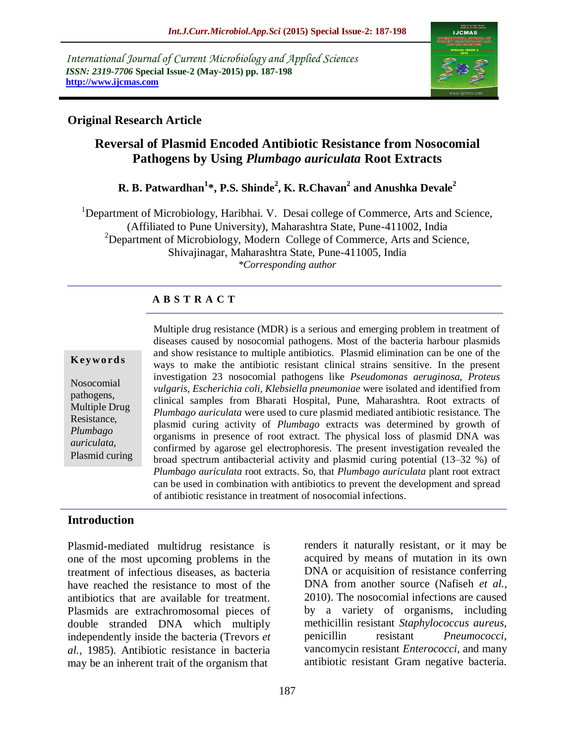*International Journal of Current Microbiology and Applied Sciences ISSN: 2319-7706* **Special Issue-2 (May-2015) pp. 187-198 http://www.ijcmas.com** 



### **Original Research Article**

# **Reversal of Plasmid Encoded Antibiotic Resistance from Nosocomial Pathogens by Using** *Plumbago auriculata* **Root Extracts**

# **R. B. Patwardhan<sup>1</sup> \*, P.S. Shinde<sup>2</sup> , K. R.Chavan<sup>2</sup> and Anushka Devale<sup>2</sup>**

<sup>1</sup>Department of Microbiology, Haribhai. V. Desai college of Commerce, Arts and Science, (Affiliated to Pune University), Maharashtra State, Pune-411002, India <sup>2</sup>Department of Microbiology, Modern College of Commerce, Arts and Science, Shivajinagar, Maharashtra State, Pune-411005, India *\*Corresponding author*

### **A B S T R A C T**

#### **K ey w o rd s**

Nosocomial pathogens, Multiple Drug Resistance, *Plumbago auriculata*, Plasmid curing Multiple drug resistance (MDR) is a serious and emerging problem in treatment of diseases caused by nosocomial pathogens. Most of the bacteria harbour plasmids and show resistance to multiple antibiotics. Plasmid elimination can be one of the ways to make the antibiotic resistant clinical strains sensitive. In the present investigation 23 nosocomial pathogens like *Pseudomonas aeruginosa, Proteus vulgaris, Escherichia coli, Klebsiella pneumoniae* were isolated and identified from clinical samples from Bharati Hospital, Pune, Maharashtra. Root extracts of *Plumbago auriculata* were used to cure plasmid mediated antibiotic resistance. The plasmid curing activity of *Plumbago* extracts was determined by growth of organisms in presence of root extract. The physical loss of plasmid DNA was confirmed by agarose gel electrophoresis. The present investigation revealed the broad spectrum antibacterial activity and plasmid curing potential (13–32 %) of *Plumbago auriculata* root extracts. So, that *Plumbago auriculata* plant root extract can be used in combination with antibiotics to prevent the development and spread of antibiotic resistance in treatment of nosocomial infections.

### **Introduction**

Plasmid-mediated multidrug resistance is one of the most upcoming problems in the treatment of infectious diseases, as bacteria have reached the resistance to most of the antibiotics that are available for treatment. Plasmids are extrachromosomal pieces of double stranded DNA which multiply independently inside the bacteria (Trevors *et al.,* 1985). Antibiotic resistance in bacteria may be an inherent trait of the organism that

renders it naturally resistant, or it may be acquired by means of mutation in its own DNA or acquisition of resistance conferring DNA from another source (Nafiseh *et al.,*  2010). The nosocomial infections are caused by a variety of organisms, including methicillin resistant *Staphylococcus aureus*, penicillin resistant *Pneumococci*, vancomycin resistant *Enterococci*, and many antibiotic resistant Gram negative bacteria.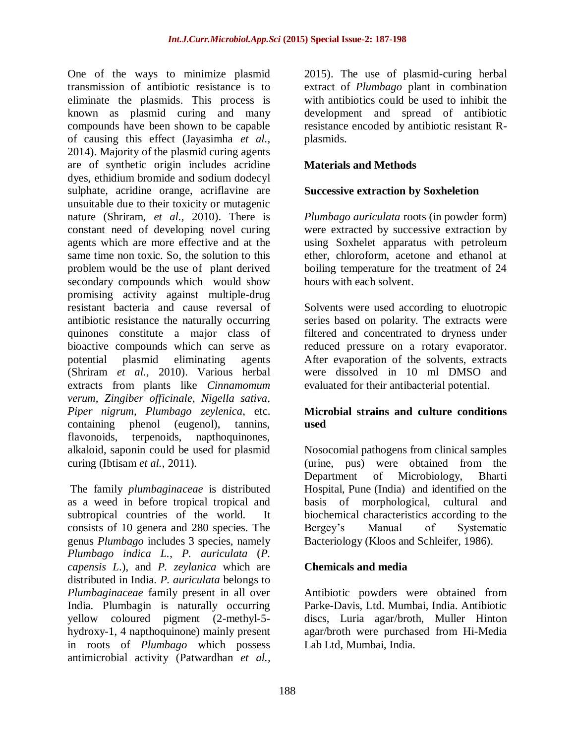One of the ways to minimize plasmid transmission of antibiotic resistance is to eliminate the plasmids. This process is known as plasmid curing and many compounds have been shown to be capable of causing this effect (Jayasimha *et al.,*  2014). Majority of the plasmid curing agents are of synthetic origin includes acridine dyes, ethidium bromide and sodium dodecyl sulphate, acridine orange, acriflavine are unsuitable due to their toxicity or mutagenic nature (Shriram, *et al.,* 2010). There is constant need of developing novel curing agents which are more effective and at the same time non toxic. So, the solution to this problem would be the use of plant derived secondary compounds which would show promising activity against multiple-drug resistant bacteria and cause reversal of antibiotic resistance the naturally occurring quinones constitute a major class of bioactive compounds which can serve as potential plasmid eliminating agents (Shriram *et al.,* 2010). Various herbal extracts from plants like *Cinnamomum verum, Zingiber officinale, Nigella sativa, Piper nigrum, Plumbago zeylenica*, etc. containing phenol (eugenol), tannins, flavonoids, terpenoids, napthoquinones, alkaloid, saponin could be used for plasmid curing (Ibtisam *et al.,* 2011).

The family *plumbaginaceae* is distributed as a weed in before tropical tropical and subtropical countries of the world. It consists of 10 genera and 280 species. The genus *Plumbago* includes 3 species, namely *Plumbago indica L.*, *P. auriculata* (*P. capensis L*.), and *P. zeylanica* which are distributed in India. *P. auriculata* belongs to *Plumbaginaceae* family present in all over India. Plumbagin is naturally occurring yellow coloured pigment (2-methyl-5 hydroxy-1, 4 napthoquinone) mainly present in roots of *Plumbago* which possess antimicrobial activity (Patwardhan *et al.,*

2015). The use of plasmid-curing herbal extract of *Plumbago* plant in combination with antibiotics could be used to inhibit the development and spread of antibiotic resistance encoded by antibiotic resistant Rplasmids.

# **Materials and Methods**

### **Successive extraction by Soxheletion**

*Plumbago auriculata* roots (in powder form) were extracted by successive extraction by using Soxhelet apparatus with petroleum ether, chloroform, acetone and ethanol at boiling temperature for the treatment of 24 hours with each solvent.

Solvents were used according to eluotropic series based on polarity. The extracts were filtered and concentrated to dryness under reduced pressure on a rotary evaporator. After evaporation of the solvents, extracts were dissolved in 10 ml DMSO and evaluated for their antibacterial potential.

### **Microbial strains and culture conditions used**

Nosocomial pathogens from clinical samples (urine, pus) were obtained from the Department of Microbiology, Bharti Hospital, Pune (India) and identified on the basis of morphological, cultural and biochemical characteristics according to the<br>Bergey's Manual of Systematic Bergey's Manual of Systematic Bacteriology (Kloos and Schleifer, 1986).

### **Chemicals and media**

Antibiotic powders were obtained from Parke-Davis, Ltd. Mumbai, India. Antibiotic discs, Luria agar/broth, Muller Hinton agar/broth were purchased from Hi-Media Lab Ltd, Mumbai, India.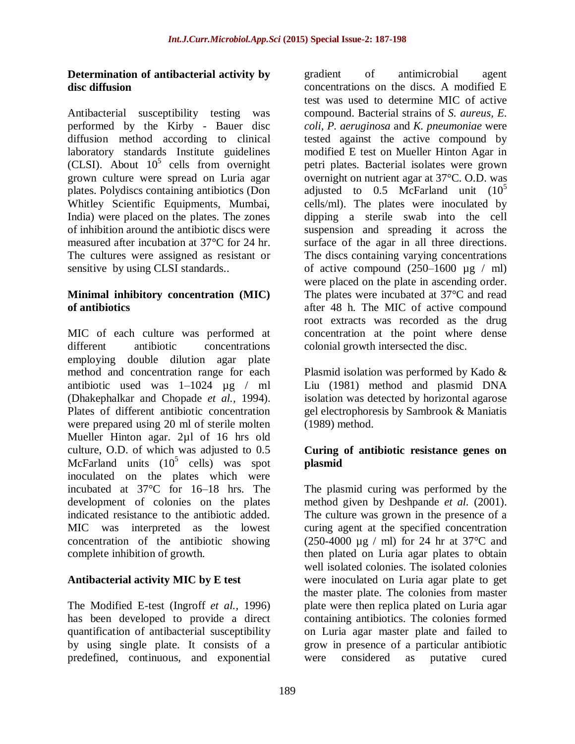### **Determination of antibacterial activity by disc diffusion**

Antibacterial susceptibility testing was performed by the Kirby - Bauer disc diffusion method according to clinical laboratory standards Institute guidelines (CLSI). About  $10^5$  cells from overnight grown culture were spread on Luria agar plates. Polydiscs containing antibiotics (Don Whitley Scientific Equipments, Mumbai, India) were placed on the plates. The zones of inhibition around the antibiotic discs were measured after incubation at 37°C for 24 hr. The cultures were assigned as resistant or sensitive by using CLSI standards..

### **Minimal inhibitory concentration (MIC) of antibiotics**

MIC of each culture was performed at different antibiotic concentrations employing double dilution agar plate method and concentration range for each antibiotic used was  $1-1024 \text{ µg}$  / ml (Dhakephalkar and Chopade *et al.,* 1994). Plates of different antibiotic concentration were prepared using 20 ml of sterile molten Mueller Hinton agar. 2µl of 16 hrs old culture, O.D. of which was adjusted to 0.5 McFarland units  $(10^5 \text{ cells})$  was spot inoculated on the plates which were incubated at 37°C for 16–18 hrs. The development of colonies on the plates indicated resistance to the antibiotic added. MIC was interpreted as the lowest concentration of the antibiotic showing complete inhibition of growth.

### **Antibacterial activity MIC by E test**

The Modified E-test (Ingroff *et al.,* 1996) has been developed to provide a direct quantification of antibacterial susceptibility by using single plate. It consists of a predefined, continuous, and exponential

gradient of antimicrobial agent concentrations on the discs. A modified E test was used to determine MIC of active compound. Bacterial strains of *S. aureus, E. coli, P. aeruginosa* and *K. pneumoniae* were tested against the active compound by modified E test on Mueller Hinton Agar in petri plates. Bacterial isolates were grown overnight on nutrient agar at 37°C. O.D. was adjusted to  $0.5$  McFarland unit  $(10^5$ cells/ml). The plates were inoculated by dipping a sterile swab into the cell suspension and spreading it across the surface of the agar in all three directions. The discs containing varying concentrations of active compound  $(250-1600 \text{ µg} / \text{ml})$ were placed on the plate in ascending order. The plates were incubated at 37°C and read after 48 h. The MIC of active compound root extracts was recorded as the drug concentration at the point where dense colonial growth intersected the disc.

Plasmid isolation was performed by Kado & Liu (1981) method and plasmid DNA isolation was detected by horizontal agarose gel electrophoresis by Sambrook & Maniatis (1989) method.

### **Curing of antibiotic resistance genes on plasmid**

The plasmid curing was performed by the method given by Deshpande *et al.* (2001). The culture was grown in the presence of a curing agent at the specified concentration (250-4000  $\mu$ g / ml) for 24 hr at 37 °C and then plated on Luria agar plates to obtain well isolated colonies. The isolated colonies were inoculated on Luria agar plate to get the master plate. The colonies from master plate were then replica plated on Luria agar containing antibiotics. The colonies formed on Luria agar master plate and failed to grow in presence of a particular antibiotic were considered as putative cured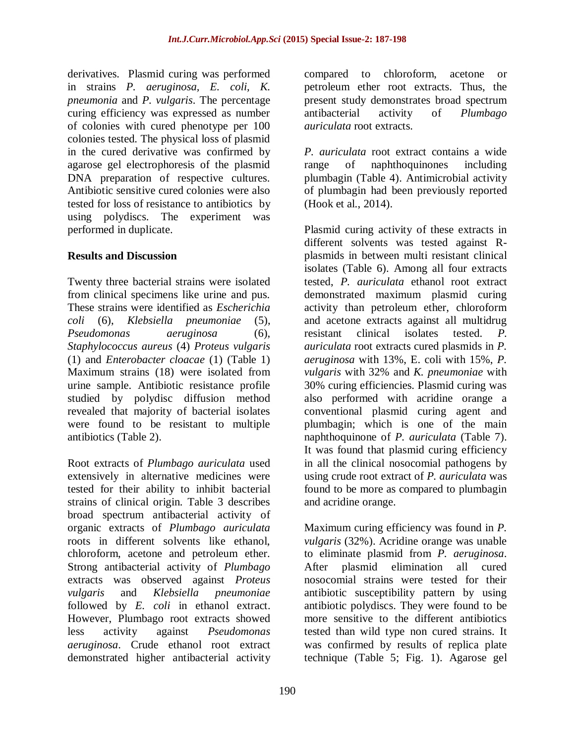derivatives. Plasmid curing was performed in strains *P. aeruginosa, E. coli, K. pneumonia* and *P. vulgaris*. The percentage curing efficiency was expressed as number of colonies with cured phenotype per 100 colonies tested. The physical loss of plasmid in the cured derivative was confirmed by agarose gel electrophoresis of the plasmid DNA preparation of respective cultures. Antibiotic sensitive cured colonies were also tested for loss of resistance to antibiotics by using polydiscs. The experiment was performed in duplicate.

### **Results and Discussion**

Twenty three bacterial strains were isolated from clinical specimens like urine and pus. These strains were identified as *Escherichia coli* (6), *Klebsiella pneumoniae* (5), *Pseudomonas aeruginosa* (6), *Staphylococcus aureus* (4) *Proteus vulgaris* (1) and *Enterobacter cloacae* (1) (Table 1) Maximum strains (18) were isolated from urine sample. Antibiotic resistance profile studied by polydisc diffusion method revealed that majority of bacterial isolates were found to be resistant to multiple antibiotics (Table 2).

Root extracts of *Plumbago auriculata* used extensively in alternative medicines were tested for their ability to inhibit bacterial strains of clinical origin. Table 3 describes broad spectrum antibacterial activity of organic extracts of *Plumbago auriculata* roots in different solvents like ethanol, chloroform, acetone and petroleum ether. Strong antibacterial activity of *Plumbago* extracts was observed against *Proteus vulgaris* and *Klebsiella pneumoniae*  followed by *E. coli* in ethanol extract. However, Plumbago root extracts showed less activity against *Pseudomonas aeruginosa*. Crude ethanol root extract demonstrated higher antibacterial activity

compared to chloroform, acetone or petroleum ether root extracts. Thus, the present study demonstrates broad spectrum antibacterial activity of *Plumbago auriculata* root extracts.

*P. auriculata* root extract contains a wide range of naphthoquinones including plumbagin (Table 4). Antimicrobial activity of plumbagin had been previously reported (Hook et al., 2014).

Plasmid curing activity of these extracts in different solvents was tested against Rplasmids in between multi resistant clinical isolates (Table 6). Among all four extracts tested, *P. auriculata* ethanol root extract demonstrated maximum plasmid curing activity than petroleum ether, chloroform and acetone extracts against all multidrug resistant clinical isolates tested. *P. auriculata* root extracts cured plasmids in *P. aeruginosa* with 13%, E. coli with 15%, *P. vulgaris* with 32% and *K. pneumoniae* with 30% curing efficiencies. Plasmid curing was also performed with acridine orange a conventional plasmid curing agent and plumbagin; which is one of the main naphthoquinone of *P. auriculata* (Table 7). It was found that plasmid curing efficiency in all the clinical nosocomial pathogens by using crude root extract of *P. auriculata* was found to be more as compared to plumbagin and acridine orange.

Maximum curing efficiency was found in *P. vulgaris* (32%). Acridine orange was unable to eliminate plasmid from *P. aeruginosa*. After plasmid elimination all cured nosocomial strains were tested for their antibiotic susceptibility pattern by using antibiotic polydiscs. They were found to be more sensitive to the different antibiotics tested than wild type non cured strains. It was confirmed by results of replica plate technique (Table 5; Fig. 1). Agarose gel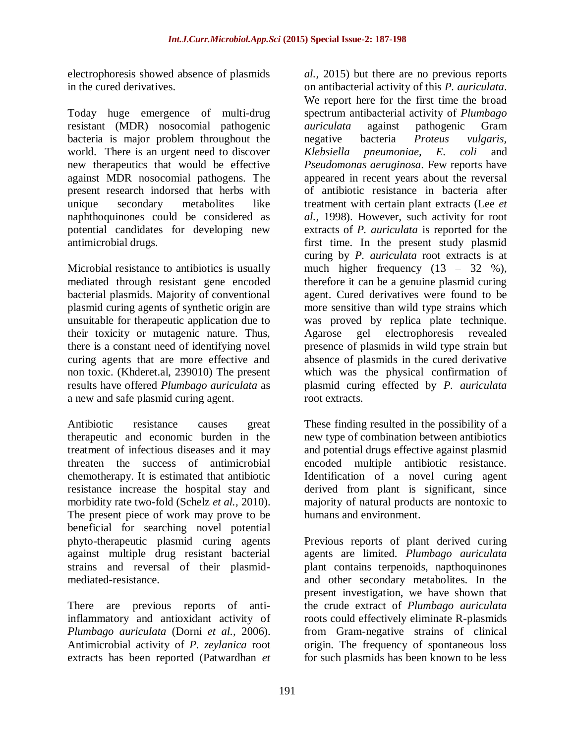electrophoresis showed absence of plasmids in the cured derivatives.

Today huge emergence of multi-drug resistant (MDR) nosocomial pathogenic bacteria is major problem throughout the world. There is an urgent need to discover new therapeutics that would be effective against MDR nosocomial pathogens. The present research indorsed that herbs with unique secondary metabolites like naphthoquinones could be considered as potential candidates for developing new antimicrobial drugs.

Microbial resistance to antibiotics is usually mediated through resistant gene encoded bacterial plasmids. Majority of conventional plasmid curing agents of synthetic origin are unsuitable for therapeutic application due to their toxicity or mutagenic nature. Thus, there is a constant need of identifying novel curing agents that are more effective and non toxic. (Khderet.al, 239010) The present results have offered *Plumbago auriculata* as a new and safe plasmid curing agent.

Antibiotic resistance causes great therapeutic and economic burden in the treatment of infectious diseases and it may threaten the success of antimicrobial chemotherapy. It is estimated that antibiotic resistance increase the hospital stay and morbidity rate two-fold (Schelz *et al.,* 2010). The present piece of work may prove to be beneficial for searching novel potential phyto-therapeutic plasmid curing agents against multiple drug resistant bacterial strains and reversal of their plasmidmediated-resistance.

There are previous reports of antiinflammatory and antioxidant activity of *Plumbago auriculata* (Dorni *et al.,* 2006). Antimicrobial activity of *P. zeylanica* root extracts has been reported (Patwardhan *et* 

*al.,* 2015) but there are no previous reports on antibacterial activity of this *P. auriculata*. We report here for the first time the broad spectrum antibacterial activity of *Plumbago auriculata* against pathogenic Gram negative bacteria *Proteus vulgaris, Klebsiella pneumoniae, E. coli* and *Pseudomonas aeruginosa*. Few reports have appeared in recent years about the reversal of antibiotic resistance in bacteria after treatment with certain plant extracts (Lee *et al.,* 1998). However, such activity for root extracts of *P. auriculata* is reported for the first time. In the present study plasmid curing by *P. auriculata* root extracts is at much higher frequency  $(13 - 32 \%)$ , therefore it can be a genuine plasmid curing agent. Cured derivatives were found to be more sensitive than wild type strains which was proved by replica plate technique. Agarose gel electrophoresis revealed presence of plasmids in wild type strain but absence of plasmids in the cured derivative which was the physical confirmation of plasmid curing effected by *P. auriculata* root extracts.

These finding resulted in the possibility of a new type of combination between antibiotics and potential drugs effective against plasmid encoded multiple antibiotic resistance. Identification of a novel curing agent derived from plant is significant, since majority of natural products are nontoxic to humans and environment.

Previous reports of plant derived curing agents are limited. *Plumbago auriculata* plant contains terpenoids, napthoquinones and other secondary metabolites. In the present investigation, we have shown that the crude extract of *Plumbago auriculata* roots could effectively eliminate R-plasmids from Gram-negative strains of clinical origin. The frequency of spontaneous loss for such plasmids has been known to be less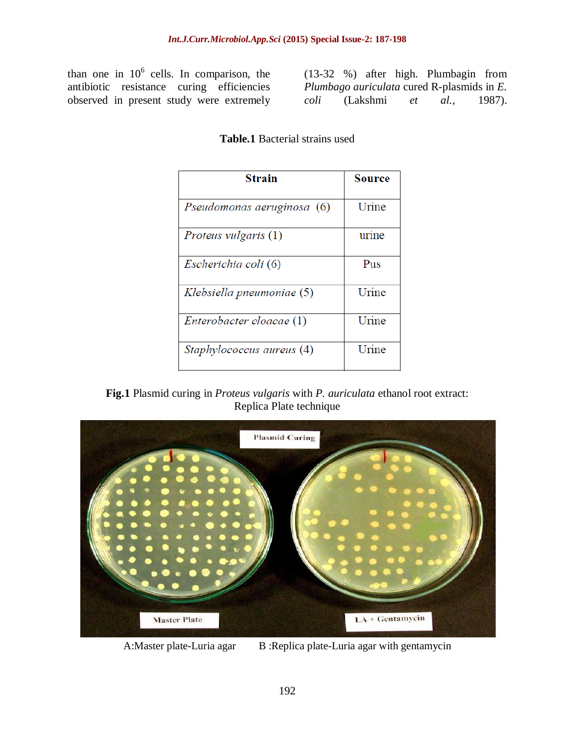than one in  $10^6$  cells. In comparison, the antibiotic resistance curing efficiencies observed in present study were extremely (13-32 %) after high. Plumbagin from *Plumbago auriculata* cured R-plasmids in *E. coli* (Lakshmi *et al.,* 1987).

| Strain                      | Source |
|-----------------------------|--------|
| Pseudomonas aeruginosa (6)  | Urine  |
| <i>Proteus vulgaris</i> (1) | urine  |
| Escherichia coli (6)        | Pus    |
| Klebsiella pneumoniae (5)   | Urine  |
| Enterobacter cloacae (1)    | Urine  |
| Staphylococcus aureus (4)   | Urine  |

### **Table.1** Bacterial strains used





A:Master plate-Luria agar B:Replica plate-Luria agar with gentamycin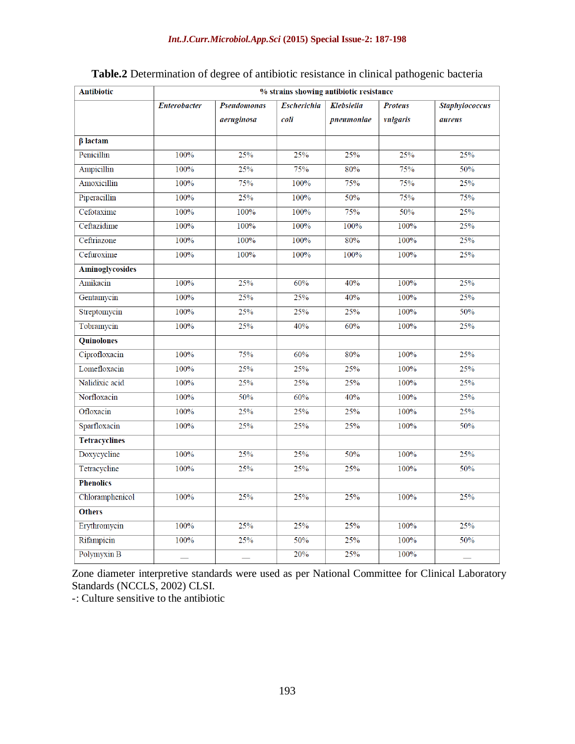| <b>Antibiotic</b>      | % strains showing antibiotic resistance |                    |                    |                   |                |                       |  |  |  |
|------------------------|-----------------------------------------|--------------------|--------------------|-------------------|----------------|-----------------------|--|--|--|
|                        | <b>Enterobacter</b>                     | <b>Pseudomonas</b> | <b>Escherichia</b> | <b>Klebsiella</b> | <b>Proteus</b> | <b>Staphylococcus</b> |  |  |  |
|                        |                                         | aeruginosa         | coli               | pneumoniae        | vulgaris       | aureus                |  |  |  |
| $\beta$ lactam         |                                         |                    |                    |                   |                |                       |  |  |  |
| Penicillin             | 100%                                    | 25%                | 25%                | 25%               | 25%            | 25%                   |  |  |  |
| Ampicillin             | 100%                                    | 25%                | 75%                | 80%               | 75%            | 50%                   |  |  |  |
| Amoxicillin            | 100%                                    | 75%                | 100%               | 75%               | 75%            | 25%                   |  |  |  |
| Piperacillin           | 100%                                    | 25%                | 100%               | 50%               | 75%            | 75%                   |  |  |  |
| Cefotaxime             | 100%                                    | 100%               | 100%               | 75%               | 50%            | 25%                   |  |  |  |
| Ceftazidime            | 100%                                    | 100%               | 100%               | 100%              | 100%           | 25%                   |  |  |  |
| Ceftriazone            | 100%                                    | 100%               | 100%               | 80%               | 100%           | 25%                   |  |  |  |
| Cefuroxime             | 100%                                    | 100%               | 100%               | 100%              | 100%           | 25%                   |  |  |  |
| <b>Aminoglycosides</b> |                                         |                    |                    |                   |                |                       |  |  |  |
| Amikacin               | 100%                                    | 25%                | 60%                | 40%               | 100%           | 25%                   |  |  |  |
| Gentamycin             | 100%                                    | 25%                | 25%                | 40%               | 100%           | 25%                   |  |  |  |
| Streptomycin           | 100%                                    | 25%                | 25%                | 25%               | 100%           | 50%                   |  |  |  |
| Tobramycin             | 100%                                    | 25%                | 40%                | 60%               | 100%           | 25%                   |  |  |  |
| <b>Quinolones</b>      |                                         |                    |                    |                   |                |                       |  |  |  |
| Ciprofloxacin          | 100%                                    | 75%                | 60%                | 80%               | 100%           | 25%                   |  |  |  |
| Lomefloxacin           | 100%                                    | 25%                | 25%                | 25%               | 100%           | 25%                   |  |  |  |
| Nalidixic acid         | 100%                                    | 25%                | 25%                | 25%               | 100%           | 25%                   |  |  |  |
| Norfloxacin            | 100%                                    | 50%                | 60%                | 40%               | 100%           | 25%                   |  |  |  |
| Ofloxacin              | 100%                                    | 25%                | 25%                | 25%               | 100%           | 25%                   |  |  |  |
| Sparfloxacin           | 100%                                    | 25%                | 25%                | 25%               | 100%           | 50%                   |  |  |  |
| <b>Tetracyclines</b>   |                                         |                    |                    |                   |                |                       |  |  |  |
| Doxycycline            | 100%                                    | 25%                | 25%                | 50%               | 100%           | 25%                   |  |  |  |
| Tetracycline           | 100%                                    | 25%                | 25%                | 25%               | 100%           | 50%                   |  |  |  |
| <b>Phenolics</b>       |                                         |                    |                    |                   |                |                       |  |  |  |
| Chloramphenicol        | 100%                                    | 25%                | 25%                | 25%               | 100%           | 25%                   |  |  |  |
| <b>Others</b>          |                                         |                    |                    |                   |                |                       |  |  |  |
| Erythromycin           | 100%                                    | 25%                | 25%                | 25%               | 100%           | 25%                   |  |  |  |
| Rifampicin             | 100%                                    | 25%                | 50%                | 25%               | 100%           | 50%                   |  |  |  |
| Polymyxin B            |                                         |                    | 20%                | 25%               | 100%           |                       |  |  |  |

## **Table.2** Determination of degree of antibiotic resistance in clinical pathogenic bacteria

Zone diameter interpretive standards were used as per National Committee for Clinical Laboratory Standards (NCCLS, 2002) CLSI.

-: Culture sensitive to the antibiotic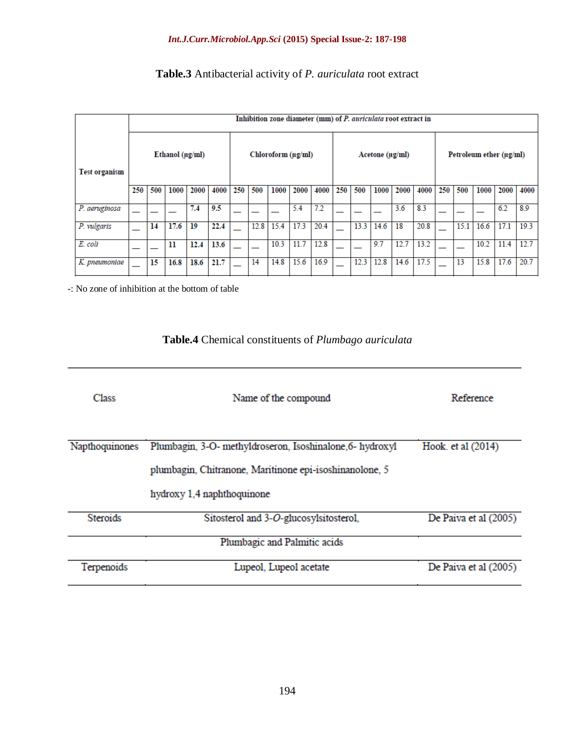#### *Int.J.Curr.Microbiol.App.Sci* **(2015) Special Issue-2: 187-198**

# **Table.3** Antibacterial activity of *P. auriculata* root extract

|                      |     | Inhibition zone diameter (mm) of P. auriculata root extract in |                       |      |      |                    |      |      |      |                 |     |      |      |      |                         |     |      |      |      |      |
|----------------------|-----|----------------------------------------------------------------|-----------------------|------|------|--------------------|------|------|------|-----------------|-----|------|------|------|-------------------------|-----|------|------|------|------|
| <b>Test organism</b> |     |                                                                | Ethanol ( $\mu$ g/ml) |      |      | Chloroform (ug/ml) |      |      |      | Acetone (µg/ml) |     |      |      |      | Petroleum ether (µg/ml) |     |      |      |      |      |
|                      | 250 | 500                                                            | 1000                  | 2000 | 4000 | 250                | 500  | 1000 | 2000 | 4000            | 250 | 500  | 1000 | 2000 | 4000                    | 250 | 500  | 1000 | 2000 | 4000 |
| P. aeruginosa        |     |                                                                |                       | 7.4  | 9.5  |                    |      |      | 5.4  | 7.2             |     |      |      | 3.6  | 8.3                     |     |      |      | 6.2  | 8.9  |
| P. vulgaris          |     | 14                                                             | 17.6                  | 19   | 22.4 |                    | 12.8 | 15.4 | 17.3 | 20.4            |     | 13.3 | 14.6 | 18   | 20.8                    |     | 15.1 | 16.6 | 17.1 | 19.3 |
| E. coli              |     |                                                                | 11                    | 12.4 | 13.6 |                    |      | 10.3 | 11.7 | 12.8            |     |      | 9.7  | 12.7 | 13.2                    |     |      | 10.2 | 11.4 | 12.7 |
| K. pneumoniae        |     | 15                                                             | 16.8                  | 18.6 | 21.7 |                    | 14   | 14.8 | 15.6 | 16.9            |     | 12.3 | 12.8 | 14.6 | 17.5                    |     | 13   | 15.8 | 17.6 | 20.7 |

-: No zone of inhibition at the bottom of table

# **Table.4** Chemical constituents of *Plumbago auriculata*

| <b>Class</b>    | Reference                                                                                                                                          |                       |  |  |  |
|-----------------|----------------------------------------------------------------------------------------------------------------------------------------------------|-----------------------|--|--|--|
| Napthoquinones  | Plumbagin, 3-O- methyldroseron, Isoshinalone, 6- hydroxyl<br>plumbagin, Chitranone, Maritinone epi-isoshinanolone, 5<br>hydroxy 1,4 naphthoquinone | Hook. et al (2014)    |  |  |  |
| <b>Steroids</b> | Sitosterol and 3-O-glucosylsitosterol,<br>Plumbagic and Palmitic acids                                                                             | De Paiva et al (2005) |  |  |  |
| Terpenoids      | Lupeol, Lupeol acetate                                                                                                                             | De Paiva et al (2005) |  |  |  |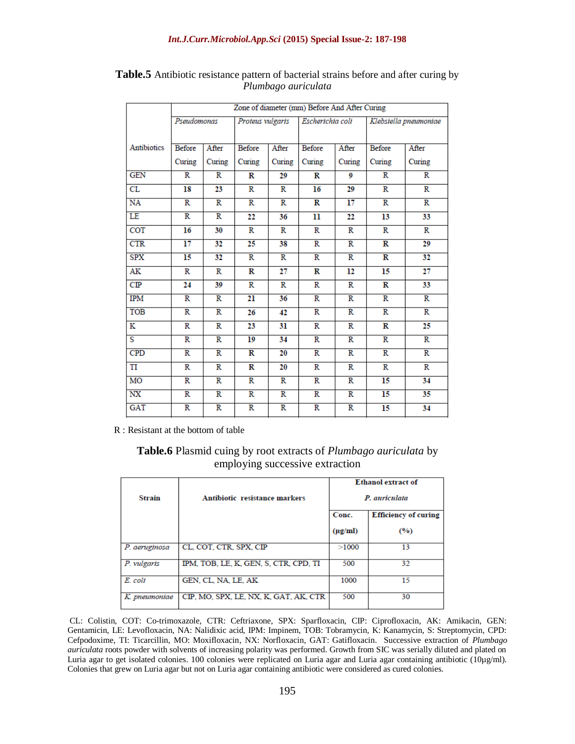| Klebsiella pneumoniae   |                         |  |
|-------------------------|-------------------------|--|
|                         |                         |  |
| <b>Before</b>           | After                   |  |
| Curing                  | Curing                  |  |
| $\overline{\mathbf{R}}$ | $\overline{\mathbf{R}}$ |  |
| R                       | R                       |  |
| $\overline{\mathbb{R}}$ | R                       |  |
| 13                      | 33                      |  |
| R<br>R                  |                         |  |
| $\overline{\mathbf{R}}$ | 29                      |  |
| $\overline{\mathbf{R}}$ | $\overline{32}$         |  |
| 15                      | $\overline{27}$         |  |
| R                       | 33                      |  |
| $\overline{\mathbb{R}}$ | $\overline{\mathbb{R}}$ |  |
| $\overline{\mathbf{R}}$ | $\overline{\mathbb{R}}$ |  |
| R                       | 25                      |  |
| $\overline{\mathbf{R}}$ | $\overline{\mathbb{R}}$ |  |
| $\overline{\mathbf{R}}$ | $\overline{\mathbb{R}}$ |  |
| R                       | R                       |  |
| $\overline{15}$         | 34                      |  |
| $\overline{15}$         | 35                      |  |
| 15                      | 34                      |  |
|                         |                         |  |

**Table.5** Antibiotic resistance pattern of bacterial strains before and after curing by *Plumbago auriculata*

R : Resistant at the bottom of table

**Table.6** Plasmid cuing by root extracts of *Plumbago auriculata* by employing successive extraction

|               |                                       | <b>Ethanol extract of</b> |                             |  |  |  |  |  |
|---------------|---------------------------------------|---------------------------|-----------------------------|--|--|--|--|--|
| <b>Strain</b> | Antibiotic resistance markers         |                           | P. auriculata               |  |  |  |  |  |
|               |                                       | Conc.                     | <b>Efficiency of curing</b> |  |  |  |  |  |
|               |                                       | $(\mu g/ml)$              | (%)                         |  |  |  |  |  |
| P. aeruginosa | CL, COT, CTR, SPX, CIP                | >1000                     | 13                          |  |  |  |  |  |
| P. vulgaris   | IPM, TOB, LE, K, GEN, S, CTR, CPD, TI | 500                       | 32                          |  |  |  |  |  |
| E. coli       | GEN, CL, NA, LE, AK                   | 1000                      | 15                          |  |  |  |  |  |
| K. pneumoniae | CIP, MO, SPX, LE, NX, K, GAT, AK, CTR | 500                       | 30                          |  |  |  |  |  |

CL: Colistin, COT: Co-trimoxazole, CTR: Ceftriaxone, SPX: Sparfloxacin, CIP: Ciprofloxacin, AK: Amikacin, GEN: Gentamicin, LE: Levofloxacin, NA: Nalidixic acid, IPM: Impinem, TOB: Tobramycin, K: Kanamycin, S: Streptomycin, CPD: Cefpodoxime, TI: Ticarcillin, MO: Moxifloxacin, NX: Norfloxacin, GAT: Gatifloxacin. Successive extraction of *Plumbago auriculata* roots powder with solvents of increasing polarity was performed. Growth from SIC was serially diluted and plated on Luria agar to get isolated colonies. 100 colonies were replicated on Luria agar and Luria agar containing antibiotic (10µg/ml). Colonies that grew on Luria agar but not on Luria agar containing antibiotic were considered as cured colonies.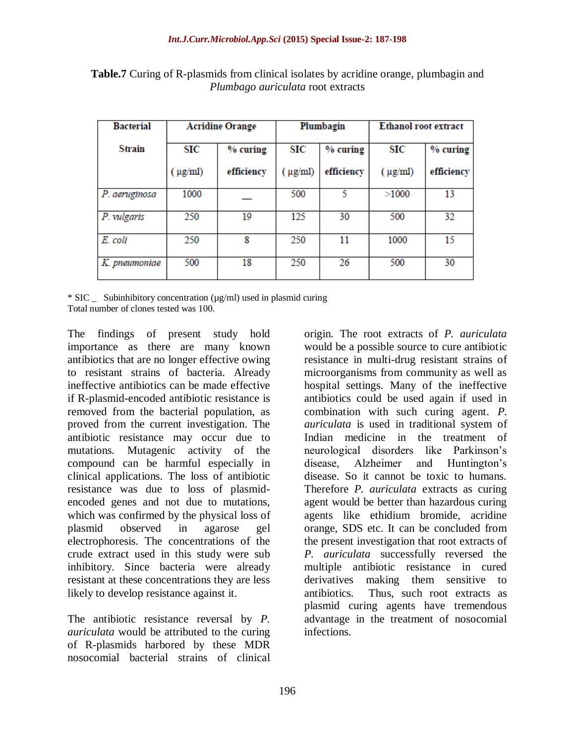| <b>Bacterial</b> |                 | <b>Acridine Orange</b> |                 | Plumbagin  | <b>Ethanol root extract</b> |            |  |  |
|------------------|-----------------|------------------------|-----------------|------------|-----------------------------|------------|--|--|
| Strain           | SIC<br>% curing |                        | SIC<br>% curing |            | SIC                         | % curing   |  |  |
|                  | $(\mu g/ml)$    | efficiency             | $(\mu g/ml)$    | efficiency | $(\mu g/ml)$                | efficiency |  |  |
| P. aeruginosa    | 1000            |                        | 500             |            | >1000                       | 13         |  |  |
| P. vulgaris      | 250             | 19                     | 125             | 30         | 500                         | 32         |  |  |
| E. coli          | 250             | 8                      | 250             | 11         | 1000                        | 15         |  |  |
| K. pneumoniae    | 500             | 18                     | 250             | 26         | 500                         | 30         |  |  |

**Table.7** Curing of R-plasmids from clinical isolates by acridine orange, plumbagin and *Plumbago auriculata* root extracts

\* SIC \_ Subinhibitory concentration (µg/ml) used in plasmid curing Total number of clones tested was 100.

The findings of present study hold importance as there are many known antibiotics that are no longer effective owing to resistant strains of bacteria. Already ineffective antibiotics can be made effective if R-plasmid-encoded antibiotic resistance is removed from the bacterial population, as proved from the current investigation. The antibiotic resistance may occur due to mutations. Mutagenic activity of the compound can be harmful especially in clinical applications. The loss of antibiotic resistance was due to loss of plasmidencoded genes and not due to mutations, which was confirmed by the physical loss of plasmid observed in agarose gel electrophoresis. The concentrations of the crude extract used in this study were sub inhibitory. Since bacteria were already resistant at these concentrations they are less likely to develop resistance against it.

The antibiotic resistance reversal by *P. auriculata* would be attributed to the curing of R-plasmids harbored by these MDR nosocomial bacterial strains of clinical origin. The root extracts of *P. auriculata* would be a possible source to cure antibiotic resistance in multi-drug resistant strains of microorganisms from community as well as hospital settings. Many of the ineffective antibiotics could be used again if used in combination with such curing agent. *P. auriculata* is used in traditional system of Indian medicine in the treatment of neurological disorders like Parkinson's disease, Alzheimer and Huntington's disease. So it cannot be toxic to humans. Therefore *P. auriculata* extracts as curing agent would be better than hazardous curing agents like ethidium bromide, acridine orange, SDS etc. It can be concluded from the present investigation that root extracts of *P. auriculata* successfully reversed the multiple antibiotic resistance in cured derivatives making them sensitive to antibiotics. Thus, such root extracts as plasmid curing agents have tremendous advantage in the treatment of nosocomial infections.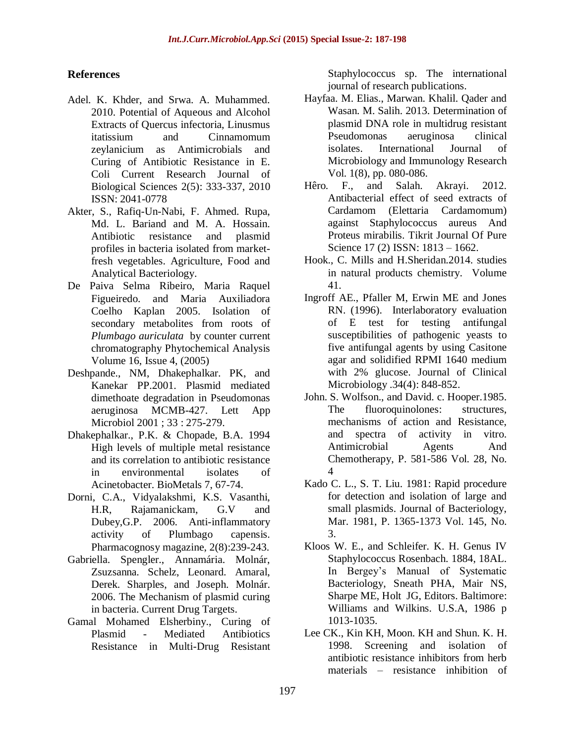### **References**

- Adel. K. Khder, and Srwa. A. Muhammed. 2010. Potential of Aqueous and Alcohol Extracts of Quercus infectoria, Linusmus itatissium and Cinnamomum zeylanicium as Antimicrobials and Curing of Antibiotic Resistance in E. Coli Current Research Journal of Biological Sciences 2(5): 333-337, 2010 ISSN: 2041-0778
- Akter, S., Rafiq-Un-Nabi, F. Ahmed. Rupa, Md. L. Bariand and M. A. Hossain. Antibiotic resistance and plasmid profiles in bacteria isolated from marketfresh vegetables. Agriculture, Food and Analytical Bacteriology.
- De Paiva Selma Ribeiro, Maria Raquel Figueiredo. and Maria Auxiliadora Coelho Kaplan 2005. Isolation of secondary metabolites from roots of *Plumbago auriculata* by counter current chromatography Phytochemical Analysis Volume 16, Issue 4, (2005)
- Deshpande., NM, Dhakephalkar. PK, and Kanekar PP.2001. Plasmid mediated dimethoate degradation in Pseudomonas aeruginosa MCMB-427. Lett App Microbiol 2001 ; 33 : 275-279.
- Dhakephalkar., P.K. & Chopade, B.A. 1994 High levels of multiple metal resistance and its correlation to antibiotic resistance in environmental isolates of Acinetobacter. BioMetals 7, 67-74.
- Dorni, C.A., Vidyalakshmi, K.S. Vasanthi, H.R, Rajamanickam, G.V and Dubey,G.P. 2006. Anti-inflammatory activity of Plumbago capensis. Pharmacognosy magazine, 2(8):239-243.
- Gabriella. Spengler., Annamária. Molnár, Zsuzsanna. Schelz, Leonard. Amaral, Derek. Sharples, and Joseph. Molnár. 2006. The Mechanism of plasmid curing in bacteria. Current Drug Targets.
- Gamal Mohamed Elsherbiny., Curing of Plasmid - Mediated Antibiotics Resistance in Multi-Drug Resistant

Staphylococcus sp. The international journal of research publications.

- Hayfaa. M. Elias., Marwan. Khalil. Qader and Wasan. M. Salih. 2013. Determination of plasmid DNA role in multidrug resistant Pseudomonas aeruginosa clinical isolates. International Journal of Microbiology and Immunology Research Vol. 1(8), pp. 080-086.
- Hêro. F., and Salah. Akrayi. 2012. Antibacterial effect of seed extracts of Cardamom (Elettaria Cardamomum) against Staphylococcus aureus And Proteus mirabilis. Tikrit Journal Of Pure Science 17 (2) ISSN: 1813 – 1662.
- Hook., C. Mills and H.Sheridan.2014. studies in natural products chemistry. Volume 41.
- Ingroff AE., Pfaller M, Erwin ME and Jones RN. (1996). Interlaboratory evaluation of E test for testing antifungal susceptibilities of pathogenic yeasts to five antifungal agents by using Casitone agar and solidified RPMI 1640 medium with 2% glucose. Journal of Clinical Microbiology .34(4): 848-852.
- John. S. Wolfson., and David. c. Hooper.1985. The fluoroquinolones: structures, mechanisms of action and Resistance, and spectra of activity in vitro. Antimicrobial Agents And Chemotherapy, P. 581-586 Vol. 28, No. 4
- Kado C. L., S. T. Liu. 1981: Rapid procedure for detection and isolation of large and small plasmids. Journal of Bacteriology, Mar. 1981, P. 1365-1373 Vol. 145, No. 3.
- Kloos W. E., and Schleifer. K. H. Genus IV Staphylococcus Rosenbach. 1884, 18AL. In Bergey's Manual of Systematic Bacteriology, Sneath PHA, Mair NS, Sharpe ME, Holt JG, Editors. Baltimore: Williams and Wilkins. U.S.A, 1986 p 1013-1035.
- Lee CK., Kin KH, Moon. KH and Shun. K. H. 1998. Screening and isolation of antibiotic resistance inhibitors from herb materials – resistance inhibition of